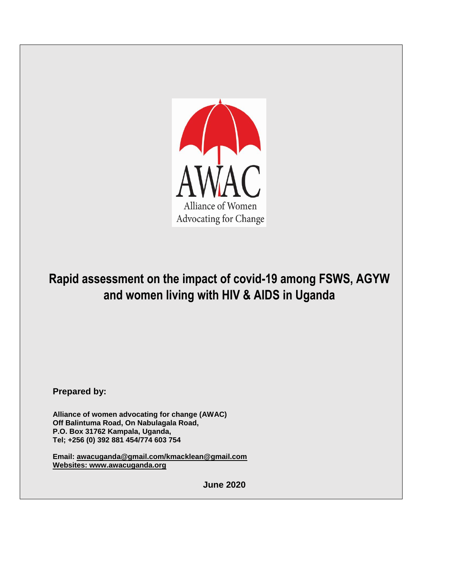

**Rapid assessment on the impact of covid-19 among FSWS, AGYW and women living with HIV & AIDS in Uganda**

**Prepared by:**

**Alliance of women advocating for change (AWAC) Off Balintuma Road, On Nabulagala Road, P.O. Box 31762 Kampala, Uganda, Tel; +256 (0) 392 881 454/774 603 754**

**Email: [awacuganda@gmail.com/kmacklean@gmail.com](mailto:awacuganda@gmail.com/kmacklean@gmail.com) Websites: [www.awacuganda.org](http://www.awacuganda.org/)**

**June 2020**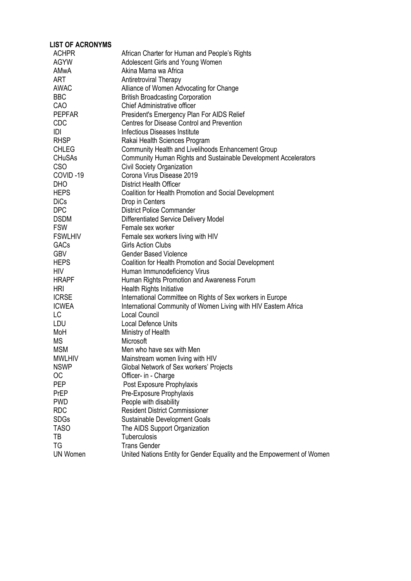# **LIST OF ACRONYMS**

| <b>ACHPR</b>    | African Charter for Human and People's Rights                          |
|-----------------|------------------------------------------------------------------------|
| AGYW            | Adolescent Girls and Young Women                                       |
| AMwA            | Akina Mama wa Africa                                                   |
| ART             | <b>Antiretroviral Therapy</b>                                          |
| <b>AWAC</b>     | Alliance of Women Advocating for Change                                |
| <b>BBC</b>      | <b>British Broadcasting Corporation</b>                                |
| CAO             | <b>Chief Administrative officer</b>                                    |
| PEPFAR          | President's Emergency Plan For AIDS Relief                             |
| <b>CDC</b>      | <b>Centres for Disease Control and Prevention</b>                      |
| IDI             | Infectious Diseases Institute                                          |
| <b>RHSP</b>     | Rakai Health Sciences Program                                          |
| <b>CHLEG</b>    | Community Health and Livelihoods Enhancement Group                     |
| <b>CHuSAs</b>   | <b>Community Human Rights and Sustainable Development Accelerators</b> |
| <b>CSO</b>      | Civil Society Organization                                             |
| COVID-19        | Corona Virus Disease 2019                                              |
| <b>DHO</b>      | <b>District Health Officer</b>                                         |
| <b>HEPS</b>     | Coalition for Health Promotion and Social Development                  |
| <b>DiCs</b>     | Drop in Centers                                                        |
| <b>DPC</b>      | <b>District Police Commander</b>                                       |
| <b>DSDM</b>     | Differentiated Service Delivery Model                                  |
| <b>FSW</b>      | Female sex worker                                                      |
| <b>FSWLHIV</b>  | Female sex workers living with HIV                                     |
| <b>GACs</b>     | <b>Girls Action Clubs</b>                                              |
| <b>GBV</b>      | <b>Gender Based Violence</b>                                           |
| <b>HEPS</b>     | Coalition for Health Promotion and Social Development                  |
| HIV             | Human Immunodeficiency Virus                                           |
| <b>HRAPF</b>    | Human Rights Promotion and Awareness Forum                             |
| <b>HRI</b>      | Health Rights Initiative                                               |
| <b>ICRSE</b>    | International Committee on Rights of Sex workers in Europe             |
| <b>ICWEA</b>    | International Community of Women Living with HIV Eastern Africa        |
| LC              | <b>Local Council</b>                                                   |
| LDU             | <b>Local Defence Units</b>                                             |
| MoH             | Ministry of Health                                                     |
| МS              | Microsoft                                                              |
| <b>MSM</b>      | Men who have sex with Men                                              |
| <b>MWLHIV</b>   | Mainstream women living with HIV                                       |
| <b>NSWP</b>     | Global Network of Sex workers' Projects                                |
| ОC              | Officer- in - Charge                                                   |
| <b>PEP</b>      | Post Exposure Prophylaxis                                              |
| PrEP            | Pre-Exposure Prophylaxis                                               |
| <b>PWD</b>      | People with disability                                                 |
| <b>RDC</b>      | <b>Resident District Commissioner</b>                                  |
| <b>SDGs</b>     | Sustainable Development Goals                                          |
| <b>TASO</b>     | The AIDS Support Organization                                          |
| TB              | <b>Tuberculosis</b>                                                    |
| TG              | <b>Trans Gender</b>                                                    |
| <b>UN Women</b> | United Nations Entity for Gender Equality and the Empowerment of Women |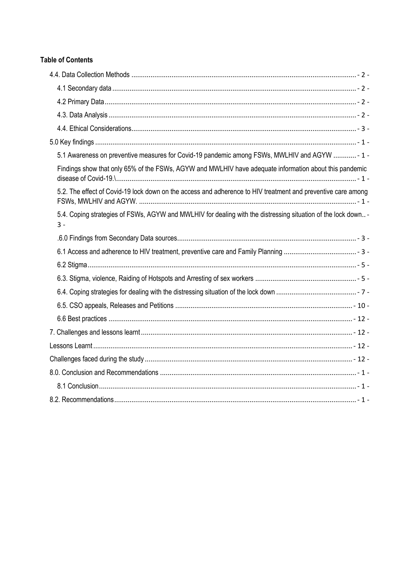# **Table of Contents**

| 5.1 Awareness on preventive measures for Covid-19 pandemic among FSWs, MWLHIV and AGYW - 1 -                           |
|------------------------------------------------------------------------------------------------------------------------|
| Findings show that only 65% of the FSWs, AGYW and MWLHIV have adequate information about this pandemic                 |
| 5.2. The effect of Covid-19 lock down on the access and adherence to HIV treatment and preventive care among           |
| 5.4. Coping strategies of FSWs, AGYW and MWLHIV for dealing with the distressing situation of the lock down -<br>$3 -$ |
|                                                                                                                        |
|                                                                                                                        |
|                                                                                                                        |
|                                                                                                                        |
|                                                                                                                        |
|                                                                                                                        |
|                                                                                                                        |
|                                                                                                                        |
|                                                                                                                        |
|                                                                                                                        |
|                                                                                                                        |
|                                                                                                                        |
|                                                                                                                        |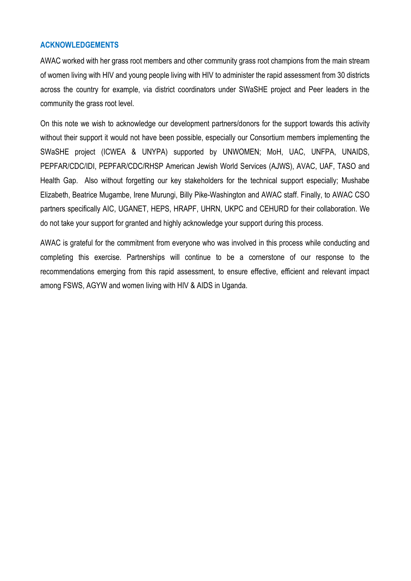# **ACKNOWLEDGEMENTS**

AWAC worked with her grass root members and other community grass root champions from the main stream of women living with HIV and young people living with HIV to administer the rapid assessment from 30 districts across the country for example, via district coordinators under SWaSHE project and Peer leaders in the community the grass root level.

On this note we wish to acknowledge our development partners/donors for the support towards this activity without their support it would not have been possible, especially our Consortium members implementing the SWaSHE project (ICWEA & UNYPA) supported by UNWOMEN; MoH, UAC, UNFPA, UNAIDS, PEPFAR/CDC/IDI, PEPFAR/CDC/RHSP American Jewish World Services (AJWS), AVAC, UAF, TASO and Health Gap. Also without forgetting our key stakeholders for the technical support especially; Mushabe Elizabeth, Beatrice Mugambe, Irene Murungi, Billy Pike-Washington and AWAC staff. Finally, to AWAC CSO partners specifically AIC, UGANET, HEPS, HRAPF, UHRN, UKPC and CEHURD for their collaboration. We do not take your support for granted and highly acknowledge your support during this process.

AWAC is grateful for the commitment from everyone who was involved in this process while conducting and completing this exercise. Partnerships will continue to be a cornerstone of our response to the recommendations emerging from this rapid assessment, to ensure effective, efficient and relevant impact among FSWS, AGYW and women living with HIV & AIDS in Uganda.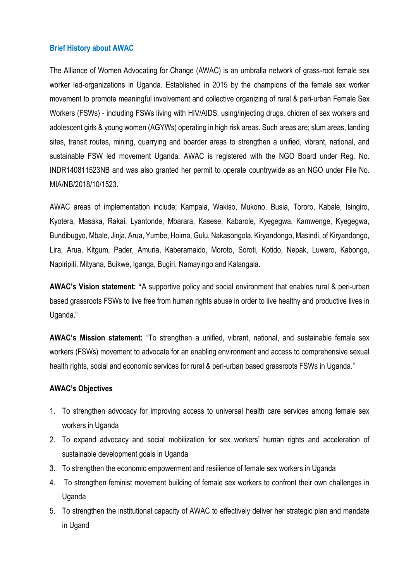# **Brief History about AWAC**

The Alliance of Women Advocating for Change (AWAC) is an umbralla network of grass-root female sex worker led-organizations in Uganda. Established in 2015 by the champions of the female sex worker movement to promote meaningful involvement and collective organizing of rural & peri-urban Female Sex Workers (FSWs) - including FSWs living with HIV/AIDS, using/injecting drugs, chidren of sex workers and adolescent girls & young women (AGYWs) operating in high risk areas. Such areas are; slum areas, landing sites, transit routes, mining, quarrying and boarder areas to strengthen a unified, vibrant, national, and sustainable FSW led movement Uganda. AWAC is registered with the NGO Board under Reg. No. INDR140811523NB and was also granted her permit to operate countrywide as an NGO under File No. MIA/NB/2018/10/1523.

AWAC areas of implementation include; Kampala, Wakiso, Mukono, Busia, Tororo, Kabale, Isingiro, Kyotera, Masaka, Rakai, Lyantonde, Mbarara, Kasese, Kabarole, Kyegegwa, Kamwenge, Kyegegwa, Bundibugyo, Mbale, Jinja, Arua, Yumbe, Hoima, Gulu, Nakasongola, Kiryandongo, Masindi, of Kiryandongo, Lira, Arua, Kitgum, Pader, Amuria, Kaberamaido, Moroto, Soroti, Kotido, Nepak, Luwero, Kabongo, Napiripiti, Mityana, Buikwe, Iganga, Bugiri, Namayingo and Kalangala.

**AWAC's Vision statement: "**A supportive policy and social environment that enables rural & peri-urban based grassroots FSWs to live free from human rights abuse in order to live healthy and productive lives in Uganda."

**AWAC's Mission statement:** "To strengthen a unified, vibrant, national, and sustainable female sex workers (FSWs) movement to advocate for an enabling environment and access to comprehensive sexual health rights, social and economic services for rural & peri-urban based grassroots FSWs in Uganda."

# **AWAC's Objectives**

- 1. To strengthen advocacy for improving access to universal health care services among female sex workers in Uganda
- 2. To expand advocacy and social mobilization for sex workers' human rights and acceleration of sustainable development goals in Uganda
- 3. To strengthen the economic empowerment and resilience of female sex workers in Uganda
- 4. To strengthen feminist movement building of female sex workers to confront their own challenges in Uganda
- 5. To strengthen the institutional capacity of AWAC to effectively deliver her strategic plan and mandate in Ugand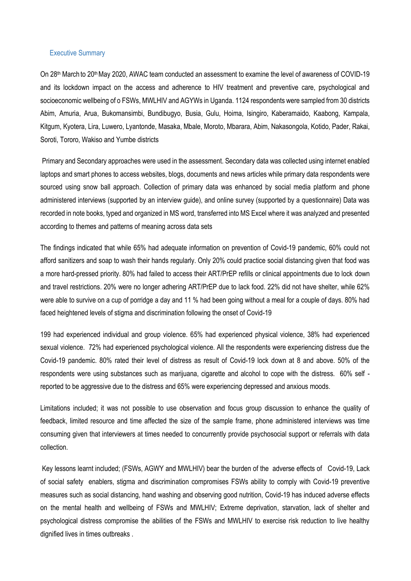#### Executive Summary

On 28<sup>th</sup> March to 20<sup>th</sup> May 2020, AWAC team conducted an assessment to examine the level of awareness of COVID-19 and its lockdown impact on the access and adherence to HIV treatment and preventive care, psychological and socioeconomic wellbeing of o FSWs, MWLHIV and AGYWs in Uganda. 1124 respondents were sampled from 30 districts Abim, Amuria, Arua, Bukomansimbi, Bundibugyo, Busia, Gulu, Hoima, Isingiro, Kaberamaido, Kaabong, Kampala, Kitgum, Kyotera, Lira, Luwero, Lyantonde, Masaka, Mbale, Moroto, Mbarara, Abim, Nakasongola, Kotido, Pader, Rakai, Soroti, Tororo, Wakiso and Yumbe districts

Primary and Secondary approaches were used in the assessment. Secondary data was collected using internet enabled laptops and smart phones to access websites, blogs, documents and news articles while primary data respondents were sourced using snow ball approach. Collection of primary data was enhanced by social media platform and phone administered interviews (supported by an interview guide), and online survey (supported by a questionnaire) Data was recorded in note books, typed and organized in MS word, transferred into MS Excel where it was analyzed and presented according to themes and patterns of meaning across data sets

The findings indicated that while 65% had adequate information on prevention of Covid-19 pandemic, 60% could not afford sanitizers and soap to wash their hands regularly. Only 20% could practice social distancing given that food was a more hard-pressed priority. 80% had failed to access their ART/PrEP refills or clinical appointments due to lock down and travel restrictions. 20% were no longer adhering ART/PrEP due to lack food. 22% did not have shelter, while 62% were able to survive on a cup of porridge a day and 11 % had been going without a meal for a couple of days. 80% had faced heightened levels of stigma and discrimination following the onset of Covid-19

199 had experienced individual and group violence. 65% had experienced physical violence, 38% had experienced sexual violence. 72% had experienced psychological violence. All the respondents were experiencing distress due the Covid-19 pandemic. 80% rated their level of distress as result of Covid-19 lock down at 8 and above. 50% of the respondents were using substances such as marijuana, cigarette and alcohol to cope with the distress. 60% self reported to be aggressive due to the distress and 65% were experiencing depressed and anxious moods.

Limitations included; it was not possible to use observation and focus group discussion to enhance the quality of feedback, limited resource and time affected the size of the sample frame, phone administered interviews was time consuming given that interviewers at times needed to concurrently provide psychosocial support or referrals with data collection.

Key lessons learnt included; (FSWs, AGWY and MWLHIV) bear the burden of the adverse effects of Covid-19, Lack of social safety enablers, stigma and discrimination compromises FSWs ability to comply with Covid-19 preventive measures such as social distancing, hand washing and observing good nutrition, Covid-19 has induced adverse effects on the mental health and wellbeing of FSWs and MWLHIV; Extreme deprivation, starvation, lack of shelter and psychological distress compromise the abilities of the FSWs and MWLHIV to exercise risk reduction to live healthy dignified lives in times outbreaks .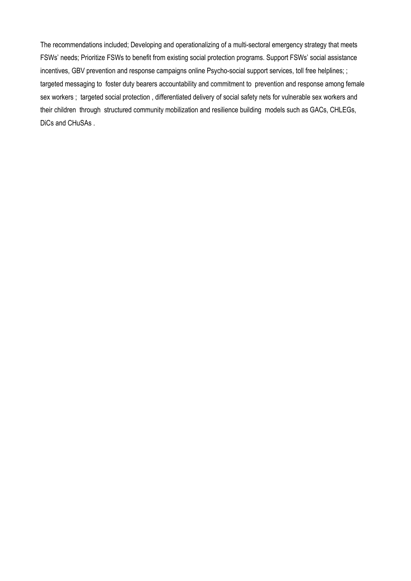The recommendations included; Developing and operationalizing of a multi-sectoral emergency strategy that meets FSWs' needs; Prioritize FSWs to benefit from existing social protection programs. Support FSWs' social assistance incentives, GBV prevention and response campaigns online Psycho-social support services, toll free helplines; ; targeted messaging to foster duty bearers accountability and commitment to prevention and response among female sex workers ; targeted social protection , differentiated delivery of social safety nets for vulnerable sex workers and their children through structured community mobilization and resilience building models such as GACs, CHLEGs, DiCs and CHuSAs .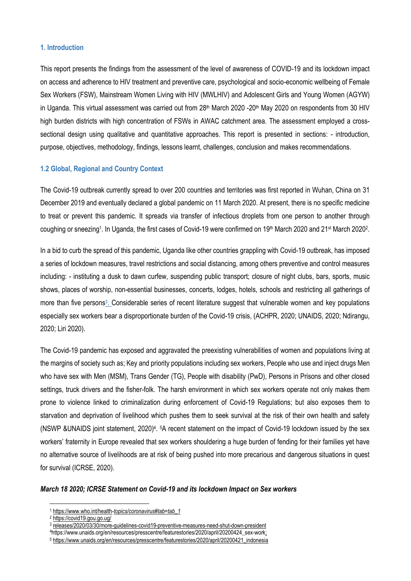#### **1. Introduction**

This report presents the findings from the assessment of the level of awareness of COVID-19 and its lockdown impact on access and adherence to HIV treatment and preventive care, psychological and socio-economic wellbeing of Female Sex Workers (FSW), Mainstream Women Living with HIV (MWLHIV) and Adolescent Girls and Young Women (AGYW) in Uganda. This virtual assessment was carried out from  $28<sup>th</sup>$  March 2020 -20<sup>th</sup> May 2020 on respondents from 30 HIV high burden districts with high concentration of FSWs in AWAC catchment area. The assessment employed a crosssectional design using qualitative and quantitative approaches. This report is presented in sections: - introduction, purpose, objectives, methodology, findings, lessons learnt, challenges, conclusion and makes recommendations.

#### **1.2 Global, Regional and Country Context**

The Covid-19 outbreak currently spread to over 200 countries and territories was first reported in Wuhan, China on 31 December 2019 and eventually declared a global pandemic on 11 March 2020. At present, there is no specific medicine to treat or prevent this pandemic. It spreads via transfer of infectious droplets from one person to another through coughing or sneezing<sup>1</sup>. In Uganda, the first cases of Covid-19 were confirmed on 19<sup>th</sup> March 2020 and 21<sup>st</sup> March 2020<sup>2</sup>.

In a bid to curb the spread of this pandemic, Uganda like other countries grappling with Covid-19 outbreak, has imposed a series of lockdown measures, travel restrictions and social distancing, among others preventive and control measures including: - instituting a dusk to dawn curfew, suspending public transport; closure of night clubs, bars, sports, music shows, places of worship, non-essential businesses, concerts, lodges, hotels, schools and restricting all gatherings of more than five persons<sup>3</sup>. Considerable series of recent literature suggest that vulnerable women and key populations especially sex workers bear a disproportionate burden of the Covid-19 crisis, (ACHPR, 2020; UNAIDS, 2020; Ndirangu, 2020; Liri 2020).

The Covid-19 pandemic has exposed and aggravated the preexisting vulnerabilities of women and populations living at the margins of society such as; Key and priority populations including sex workers, People who use and inject drugs Men who have sex with Men (MSM), Trans Gender (TG), People with disability (PwD), Persons in Prisons and other closed settings, truck drivers and the fisher-folk. The harsh environment in which sex workers operate not only makes them prone to violence linked to criminalization during enforcement of Covid-19 Regulations; but also exposes them to starvation and deprivation of livelihood which pushes them to seek survival at the risk of their own health and safety (NSWP &UNAIDS joint statement, 2020)<sup>4</sup>. 5A recent statement on the impact of Covid-19 lockdown issued by the sex workers' fraternity in Europe revealed that sex workers shouldering a huge burden of fending for their families yet have no alternative source of livelihoods are at risk of being pushed into more precarious and dangerous situations in quest for survival (ICRSE, 2020).

#### *March 18 2020; ICRSE Statement on Covid-19 and its lockdown Impact on Sex workers*

 $\overline{a}$ 

<sup>1</sup> https://www.who.int/health-*[topics/coronavirus#tab=tab\\_1](https://www.who.int/health-topics/coronavirus#tab=tab_1)*

<sup>2</sup> <https://covid19.gou.go.ug/>

<sup>3</sup> [releases/2020/03/30/more-guidelines-covid19-preventive-measures-need-shut-down-president](http://www.statehouse.go.ug/media/press-releases/2020/03/30/more-guidelines-covid19-preventive-measures-need-shut-down-president)

<sup>4</sup>[https://www.unaids.org/en/resources/presscentre/featurestories/2020/april/20200424\\_sex-work;](https://www.unaids.org/en/resources/presscentre/featurestories/2020/april/20200424_sex-work) 

<sup>5</sup> [https://www.unaids.org/en/resources/presscentre/featurestories/2020/april/20200421\\_indonesia](https://www.unaids.org/en/resources/presscentre/featurestories/2020/april/20200421_indonesia)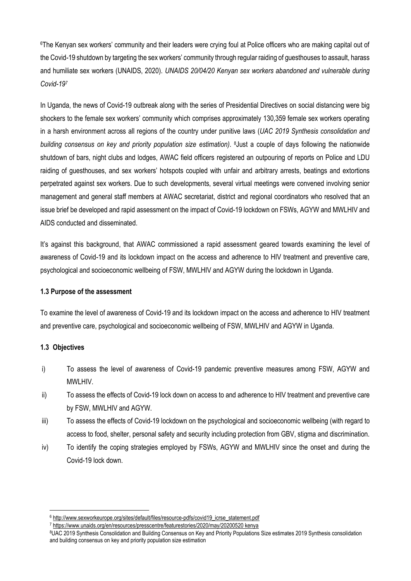<sup>6</sup>The Kenyan sex workers' community and their leaders were crying foul at Police officers who are making capital out of the Covid-19 shutdown by targeting the sex workers' community through regular raiding of guesthouses to assault, harass and humiliate sex workers (UNAIDS, 2020). *UNAIDS 20/04/20 Kenyan sex workers abandoned and vulnerable during Covid-19<sup>7</sup>*

In Uganda, the news of Covid-19 outbreak along with the series of Presidential Directives on social distancing were big shockers to the female sex workers' community which comprises approximately 130,359 female sex workers operating in a harsh environment across all regions of the country under punitive laws (*UAC 2019 Synthesis consolidation and building consensus on key and priority population size estimation)*. <sup>8</sup>Just a couple of days following the nationwide shutdown of bars, night clubs and lodges, AWAC field officers registered an outpouring of reports on Police and LDU raiding of guesthouses, and sex workers' hotspots coupled with unfair and arbitrary arrests, beatings and extortions perpetrated against sex workers. Due to such developments, several virtual meetings were convened involving senior management and general staff members at AWAC secretariat, district and regional coordinators who resolved that an issue brief be developed and rapid assessment on the impact of Covid-19 lockdown on FSWs, AGYW and MWLHIV and AIDS conducted and disseminated.

It's against this background, that AWAC commissioned a rapid assessment geared towards examining the level of awareness of Covid-19 and its lockdown impact on the access and adherence to HIV treatment and preventive care, psychological and socioeconomic wellbeing of FSW, MWLHIV and AGYW during the lockdown in Uganda.

### **1.3 Purpose of the assessment**

To examine the level of awareness of Covid-19 and its lockdown impact on the access and adherence to HIV treatment and preventive care, psychological and socioeconomic wellbeing of FSW, MWLHIV and AGYW in Uganda.

### **1.3 Objectives**

**.** 

- i) To assess the level of awareness of Covid-19 pandemic preventive measures among FSW, AGYW and MWLHIV.
- ii) To assess the effects of Covid-19 lock down on access to and adherence to HIV treatment and preventive care by FSW, MWLHIV and AGYW.
- iii) To assess the effects of Covid-19 lockdown on the psychological and socioeconomic wellbeing (with regard to access to food, shelter, personal safety and security including protection from GBV, stigma and discrimination.
- iv) To identify the coping strategies employed by FSWs, AGYW and MWLHIV since the onset and during the Covid-19 lock down.

<sup>6</sup> [http://www.sexworkeurope.org/sites/default/files/resource-pdfs/covid19\\_icrse\\_statement.pdf](http://www.sexworkeurope.org/sites/default/files/resource-pdfs/covid19_icrse_statement.pdf)

<sup>7</sup> [https://www.unaids.org/en/resources/presscentre/featurestories/2020/may/20200520 kenya](https://www.unaids.org/en/resources/presscentre/featurestories/2020/may/20200520%20kenya)

<sup>8</sup>UAC 2019 Synthesis Consolidation and Building Consensus on Key and Priority Populations Size estimates 2019 Synthesis consolidation and building consensus on key and priority population size estimation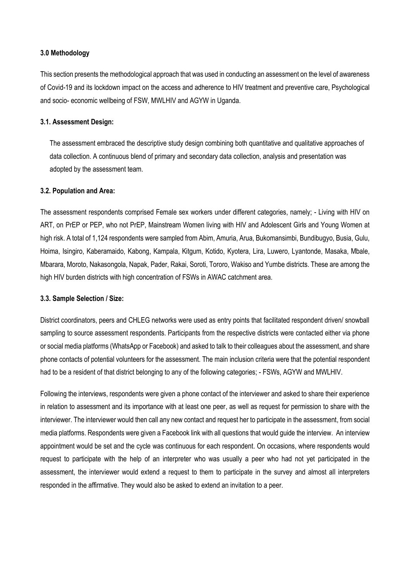### **3.0 Methodology**

This section presents the methodological approach that was used in conducting an assessment on the level of awareness of Covid-19 and its lockdown impact on the access and adherence to HIV treatment and preventive care, Psychological and socio- economic wellbeing of FSW, MWLHIV and AGYW in Uganda.

### **3.1. Assessment Design:**

The assessment embraced the descriptive study design combining both quantitative and qualitative approaches of data collection. A continuous blend of primary and secondary data collection, analysis and presentation was adopted by the assessment team.

# **3.2. Population and Area:**

The assessment respondents comprised Female sex workers under different categories, namely; - Living with HIV on ART, on PrEP or PEP, who not PrEP, Mainstream Women living with HIV and Adolescent Girls and Young Women at high risk. A total of 1,124 respondents were sampled from Abim, Amuria, Arua, Bukomansimbi, Bundibugyo, Busia, Gulu, Hoima, Isingiro, Kaberamaido, Kabong, Kampala, Kitgum, Kotido, Kyotera, Lira, Luwero, Lyantonde, Masaka, Mbale, Mbarara, Moroto, Nakasongola, Napak, Pader, Rakai, Soroti, Tororo, Wakiso and Yumbe districts. These are among the high HIV burden districts with high concentration of FSWs in AWAC catchment area.

### **3.3. Sample Selection / Size:**

District coordinators, peers and CHLEG networks were used as entry points that facilitated respondent driven/ snowball sampling to source assessment respondents. Participants from the respective districts were contacted either via phone or social media platforms (WhatsApp or Facebook) and asked to talk to their colleagues about the assessment, and share phone contacts of potential volunteers for the assessment. The main inclusion criteria were that the potential respondent had to be a resident of that district belonging to any of the following categories; - FSWs, AGYW and MWLHIV.

Following the interviews, respondents were given a phone contact of the interviewer and asked to share their experience in relation to assessment and its importance with at least one peer, as well as request for permission to share with the interviewer. The interviewer would then call any new contact and request her to participate in the assessment, from social media platforms. Respondents were given a Facebook link with all questions that would guide the interview. An interview appointment would be set and the cycle was continuous for each respondent. On occasions, where respondents would request to participate with the help of an interpreter who was usually a peer who had not yet participated in the assessment, the interviewer would extend a request to them to participate in the survey and almost all interpreters responded in the affirmative. They would also be asked to extend an invitation to a peer.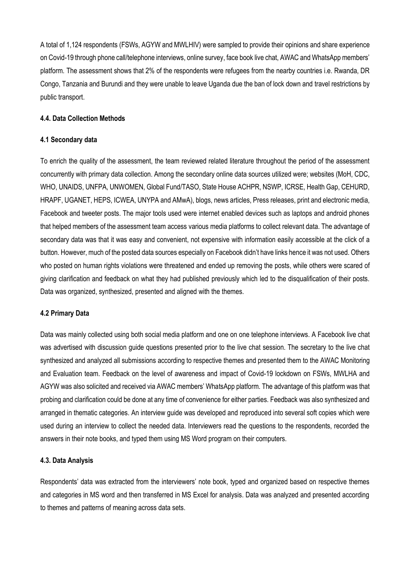A total of 1,124 respondents (FSWs, AGYW and MWLHIV) were sampled to provide their opinions and share experience on Covid-19 through phone call/telephone interviews, online survey, face book live chat, AWAC and WhatsApp members' platform. The assessment shows that 2% of the respondents were refugees from the nearby countries i.e. Rwanda, DR Congo, Tanzania and Burundi and they were unable to leave Uganda due the ban of lock down and travel restrictions by public transport.

### <span id="page-15-0"></span>**4.4. Data Collection Methods**

#### <span id="page-15-1"></span>**4.1 Secondary data**

To enrich the quality of the assessment, the team reviewed related literature throughout the period of the assessment concurrently with primary data collection. Among the secondary online data sources utilized were; websites (MoH, CDC, WHO, UNAIDS, UNFPA, UNWOMEN, Global Fund/TASO, State House ACHPR, NSWP, ICRSE, Health Gap, CEHURD, HRAPF, UGANET, HEPS, ICWEA, UNYPA and AMwA), blogs, news articles, Press releases, print and electronic media, Facebook and tweeter posts. The major tools used were internet enabled devices such as laptops and android phones that helped members of the assessment team access various media platforms to collect relevant data. The advantage of secondary data was that it was easy and convenient, not expensive with information easily accessible at the click of a button. However, much of the posted data sources especially on Facebook didn't have links hence it was not used. Others who posted on human rights violations were threatened and ended up removing the posts, while others were scared of giving clarification and feedback on what they had published previously which led to the disqualification of their posts. Data was organized, synthesized, presented and aligned with the themes.

#### <span id="page-15-2"></span>**4.2 Primary Data**

Data was mainly collected using both social media platform and one on one telephone interviews. A Facebook live chat was advertised with discussion guide questions presented prior to the live chat session. The secretary to the live chat synthesized and analyzed all submissions according to respective themes and presented them to the AWAC Monitoring and Evaluation team. Feedback on the level of awareness and impact of Covid-19 lockdown on FSWs, MWLHA and AGYW was also solicited and received via AWAC members' WhatsApp platform. The advantage of this platform was that probing and clarification could be done at any time of convenience for either parties. Feedback was also synthesized and arranged in thematic categories. An interview guide was developed and reproduced into several soft copies which were used during an interview to collect the needed data. Interviewers read the questions to the respondents, recorded the answers in their note books, and typed them using MS Word program on their computers.

#### <span id="page-15-3"></span>**4.3. Data Analysis**

Respondents' data was extracted from the interviewers' note book, typed and organized based on respective themes and categories in MS word and then transferred in MS Excel for analysis. Data was analyzed and presented according to themes and patterns of meaning across data sets.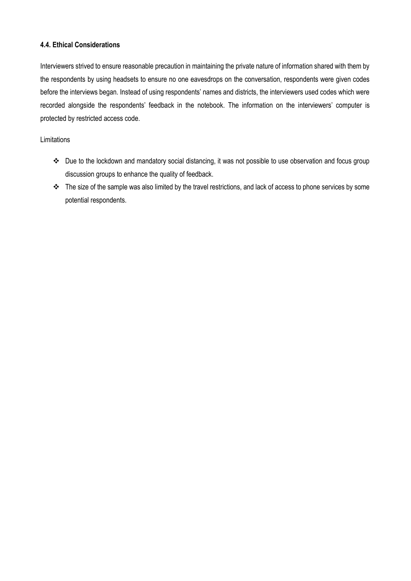# <span id="page-16-0"></span>**4.4. Ethical Considerations**

Interviewers strived to ensure reasonable precaution in maintaining the private nature of information shared with them by the respondents by using headsets to ensure no one eavesdrops on the conversation, respondents were given codes before the interviews began. Instead of using respondents' names and districts, the interviewers used codes which were recorded alongside the respondents' feedback in the notebook. The information on the interviewers' computer is protected by restricted access code.

# Limitations

- \* Due to the lockdown and mandatory social distancing, it was not possible to use observation and focus group discussion groups to enhance the quality of feedback.
- \* The size of the sample was also limited by the travel restrictions, and lack of access to phone services by some potential respondents.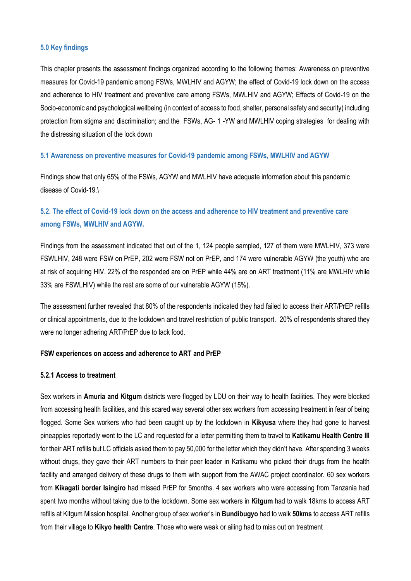#### <span id="page-18-0"></span>**5.0 Key findings**

This chapter presents the assessment findings organized according to the following themes: Awareness on preventive measures for Covid-19 pandemic among FSWs, MWLHIV and AGYW; the effect of Covid-19 lock down on the access and adherence to HIV treatment and preventive care among FSWs, MWLHIV and AGYW; Effects of Covid-19 on the Socio-economic and psychological wellbeing (in context of access to food, shelter, personal safety and security) including protection from stigma and discrimination; and the FSWs, AG- 1 -YW and MWLHIV coping strategies for dealing with the distressing situation of the lock down

### <span id="page-18-1"></span>**5.1 Awareness on preventive measures for Covid-19 pandemic among FSWs, MWLHIV and AGYW**

<span id="page-18-2"></span>Findings show that only 65% of the FSWs, AGYW and MWLHIV have adequate information about this pandemic disease of Covid-19.\

# <span id="page-18-3"></span>**5.2. The effect of Covid-19 lock down on the access and adherence to HIV treatment and preventive care among FSWs, MWLHIV and AGYW.**

Findings from the assessment indicated that out of the 1, 124 people sampled, 127 of them were MWLHIV, 373 were FSWLHIV, 248 were FSW on PrEP, 202 were FSW not on PrEP, and 174 were vulnerable AGYW (the youth) who are at risk of acquiring HIV. 22% of the responded are on PrEP while 44% are on ART treatment (11% are MWLHIV while 33% are FSWLHIV) while the rest are some of our vulnerable AGYW (15%).

The assessment further revealed that 80% of the respondents indicated they had failed to access their ART/PrEP refills or clinical appointments, due to the lockdown and travel restriction of public transport. 20% of respondents shared they were no longer adhering ART/PrEP due to lack food.

#### **FSW experiences on access and adherence to ART and PrEP**

### **5.2.1 Access to treatment**

Sex workers in **Amuria and Kitgum** districts were flogged by LDU on their way to health facilities. They were blocked from accessing health facilities, and this scared way several other sex workers from accessing treatment in fear of being flogged. Some Sex workers who had been caught up by the lockdown in **Kikyusa** where they had gone to harvest pineapples reportedly went to the LC and requested for a letter permitting them to travel to **Katikamu Health Centre III** for their ART refills but LC officials asked them to pay 50,000 for the letter which they didn't have. After spending 3 weeks without drugs, they gave their ART numbers to their peer leader in Katikamu who picked their drugs from the health facility and arranged delivery of these drugs to them with support from the AWAC project coordinator. 60 sex workers from **Kikagati border Isingiro** had missed PrEP for 5months. 4 sex workers who were accessing from Tanzania had spent two months without taking due to the lockdown. Some sex workers in **Kitgum** had to walk 18kms to access ART refills at Kitgum Mission hospital. Another group of sex worker's in **Bundibugyo** had to walk **50kms** to access ART refills from their village to **Kikyo health Centre**. Those who were weak or ailing had to miss out on treatment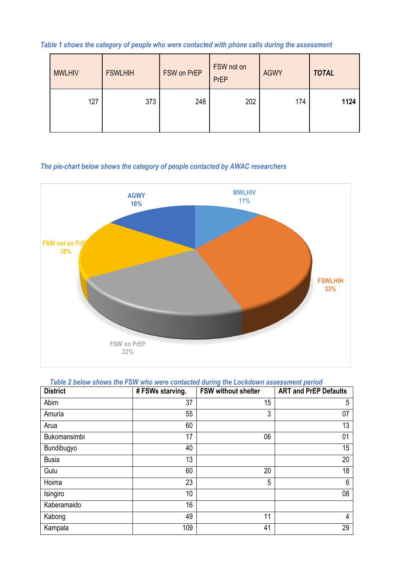*Table 1 shows the category of people who were contacted with phone calls during the assessment*

| <b>MWLHIV</b> |     | <b>FSWLHIH</b> | FSW on PrEP | FSW not on<br><b>PrEP</b> | <b>AGWY</b> | <b>TOTAL</b> |
|---------------|-----|----------------|-------------|---------------------------|-------------|--------------|
|               | 127 | 373            | 248         | 202                       | 174         | 1124         |

# *The pie-chart below shows the category of people contacted by AWAC researchers*



| Table 2 below shows the FSW who were contacted during the Lockdown assessment period |  |
|--------------------------------------------------------------------------------------|--|
|--------------------------------------------------------------------------------------|--|

| <b>District</b> | #FSWs starving. | <b>FSW without shelter</b> | <b>ART and PrEP Defaults</b> |
|-----------------|-----------------|----------------------------|------------------------------|
| Abim            | 37              | 15                         | 5                            |
| Amuria          | 55              | 3                          | 07                           |
| Arua            | 60              |                            | 13                           |
| Bukomansimbi    | 17              | 06                         | 01                           |
| Bundibugyo      | 40              |                            | 15                           |
| <b>Busia</b>    | 13              |                            | 20                           |
| Gulu            | 60              | 20                         | 18                           |
| Hoima           | 23              | 5                          | 6                            |
| Isingiro        | 10              |                            | 08                           |
| Kaberamaido     | 16              |                            |                              |
| Kabong          | 49              | 11                         | 4                            |
| Kampala         | 109             | 41                         | 29                           |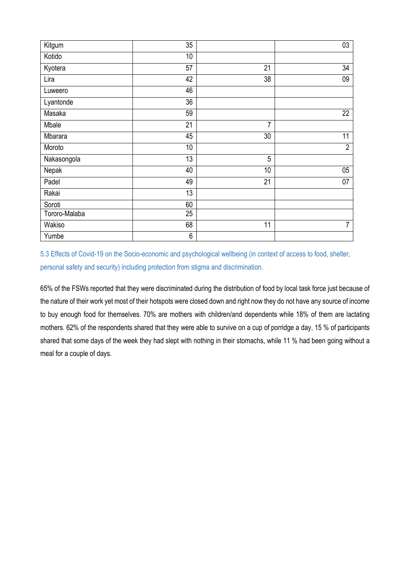| Kitgum        | 35 |                | 03             |
|---------------|----|----------------|----------------|
| Kotido        | 10 |                |                |
| Kyotera       | 57 | 21             | 34             |
| Lira          | 42 | 38             | 09             |
| Luweero       | 46 |                |                |
| Lyantonde     | 36 |                |                |
| Masaka        | 59 |                | 22             |
| Mbale         | 21 | $\overline{7}$ |                |
| Mbarara       | 45 | 30             | 11             |
| Moroto        | 10 |                | $\overline{2}$ |
| Nakasongola   | 13 | 5              |                |
| Nepak         | 40 | 10             | 05             |
| Padel         | 49 | 21             | 07             |
| Rakai         | 13 |                |                |
| Soroti        | 60 |                |                |
| Tororo-Malaba | 25 |                |                |
| Wakiso        | 68 | 11             | $\overline{7}$ |
| Yumbe         | 6  |                |                |

5.3 Effects of Covid-19 on the Socio-economic and psychological wellbeing (in context of access to food, shelter, personal safety and security) including protection from stigma and discrimination.

65% of the FSWs reported that they were discriminated during the distribution of food by local task force just because of the nature of their work yet most of their hotspots were closed down and right now they do not have any source of income to buy enough food for themselves. 70% are mothers with children/and dependents while 18% of them are lactating mothers. 62% of the respondents shared that they were able to survive on a cup of porridge a day, 15 % of participants shared that some days of the week they had slept with nothing in their stomachs, while 11 % had been going without a meal for a couple of days.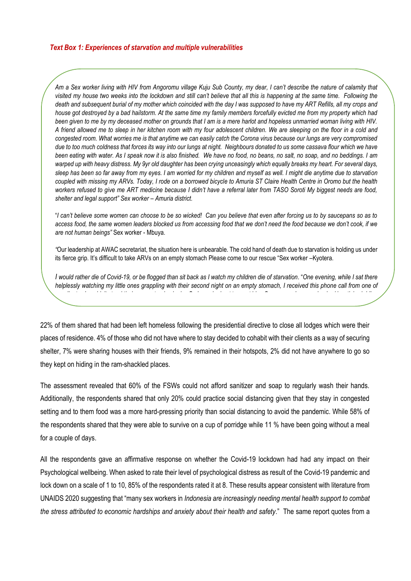*Am a Sex worker living with HIV from Angoromu village Kuju Sub County, my dear, I can't describe the nature of calamity that visited my house two weeks into the lockdown and still can't believe that all this is happening at the same time. Following the death and subsequent burial of my mother which coincided with the day I was supposed to have my ART Refills, all my crops and house got destroyed by a bad hailstorm. At the same time my family members forcefully evicted me from my property which had been given to me by my deceased mother on grounds that I am is a mere harlot and hopeless unmarried woman living with HIV. A friend allowed me to sleep in her kitchen room with my four adolescent children. We are sleeping on the floor in a cold and congested room. What worries me is that anytime we can easily catch the Corona virus because our lungs are very compromised due to too much coldness that forces its way into our lungs at night. Neighbours donated to us some cassava flour which we have been eating with water. As I speak now it is also finished. We have no food, no beans, no salt, no soap, and no beddings. I am warped up with heavy distress. My 9yr old daughter has been crying unceasingly which equally breaks my heart. For several days, sleep has been so far away from my eyes. I am worried for my children and myself as well. I might die anytime due to starvation coupled with missing my ARVs. Today, I rode on a borrowed bicycle to Amuria ST Claire Health Centre in Oromo but the health workers refused to give me ART medicine because I didn't have a referral later from TASO Soroti My biggest needs are food, shelter and legal support" Sex worker – Amuria district.* 

"*I can't believe some women can choose to be so wicked! Can you believe that even after forcing us to by saucepans so as to access food, the same women leaders blocked us from accessing food that we don't need the food because we don't cook, if we are not human beings"* Sex worker - Mbuya.

*"*Our leadership at AWAC secretariat, the situation here is unbearable. The cold hand of death due to starvation is holding us under its fierce grip. It's difficult to take ARVs on an empty stomach Please come to our rescue "Sex worker –Kyotera.

*I would rather die of Covid-19, or be flogged than sit back as I watch my children die of starvation*. "*One evening, while I sat there helplessly watching my little ones grappling with their second night on an empty stomach, I received this phone call from one of my clients. I couldn't stand their angry starving looks. So I sneaked out to meet him. On my way, I was ambushed by stick wielding* 

*and armed men who subjected me to fierce beatings. I sustained excruciating injuries on my buttocks and back and spent* 

22% of them shared that had been left homeless following the presidential directive to close all lodges which were their places of residence. 4% of those who did not have where to stay decided to cohabit with their clients as a way of securing shelter, 7% were sharing houses with their friends, 9% remained in their hotspots, 2% did not have anywhere to go so they kept on hiding in the ram-shackled places.

The assessment revealed that 60% of the FSWs could not afford sanitizer and soap to regularly wash their hands. Additionally, the respondents shared that only 20% could practice social distancing given that they stay in congested setting and to them food was a more hard-pressing priority than social distancing to avoid the pandemic. While 58% of the respondents shared that they were able to survive on a cup of porridge while 11 % have been going without a meal for a couple of days.

All the respondents gave an affirmative response on whether the Covid-19 lockdown had had any impact on their Psychological wellbeing. When asked to rate their level of psychological distress as result of the Covid-19 pandemic and lock down on a scale of 1 to 10, 85% of the respondents rated it at 8. These results appear consistent with literature from UNAIDS 2020 suggesting that "many sex workers in *Indonesia are increasingly needing mental health support to combat the stress attributed to economic hardships and anxiety about their health and safety*." The same report quotes from a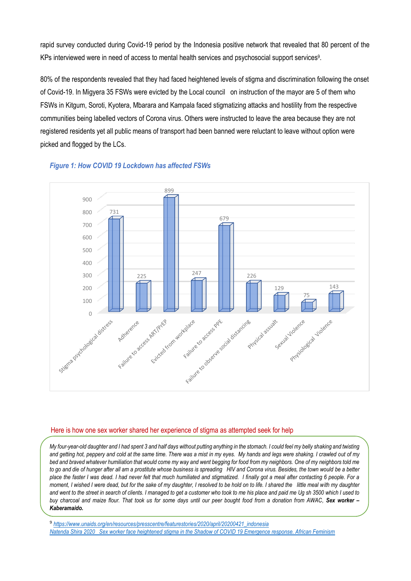rapid survey conducted during Covid-19 period by the Indonesia positive network that revealed that 80 percent of the KPs interviewed were in need of access to mental health services and psychosocial support services<sup>9</sup>.

80% of the respondents revealed that they had faced heightened levels of stigma and discrimination following the onset of Covid-19. In Migyera 35 FSWs were evicted by the Local council on instruction of the mayor are 5 of them who FSWs in Kitgum, Soroti, Kyotera, Mbarara and Kampala faced stigmatizing attacks and hostility from the respective communities being labelled vectors of Corona virus. Others were instructed to leave the area because they are not registered residents yet all public means of transport had been banned were reluctant to leave without option were picked and flogged by the LCs.



### *Figure 1: How COVID 19 Lockdown has affected FSWs*

### Here is how one sex worker shared her experience of stigma as attempted seek for help

j

and went to the street in search of clients. I managed to get a customer who took to me his place and paid me Ug sh 3500 which I used to *My four-year-old daughter and I had spent 3 and half days without putting anything in the stomach. I could feel my belly shaking and twisting and getting hot, peppery and cold at the same time. There was a mist in my eyes. My hands and legs were shaking. I crawled out of my bed and braved whatever humiliation that would come my way and went begging for food from my neighbors. One of my neighbors told me to go and die of hunger after all am a prostitute whose business is spreading HIV and Corona virus. Besides, the town would be a better place the faster I was dead. I had never felt that much humiliated and stigmatized. I finally got a meal after contacting 6 people. For a moment, I wished I were dead, but for the sake of my daughter, I resolved to be hold on to life. I shared the little meal with my daughter buy charcoal and maize flour. That took us for some days until our peer bought food from a donation from AWAC, Sex worker – Kaberamaido.*

9 *[https://www.unaids.org/en/resources/presscentre/featurestories/2020/april/20200421\\_indonesia](https://www.unaids.org/en/resources/presscentre/featurestories/2020/april/20200421_indonesia) Natenda Shira 2020 Sex worker face heightened stigma in the Shadow of COVID 19 Emergence response. African Feminism*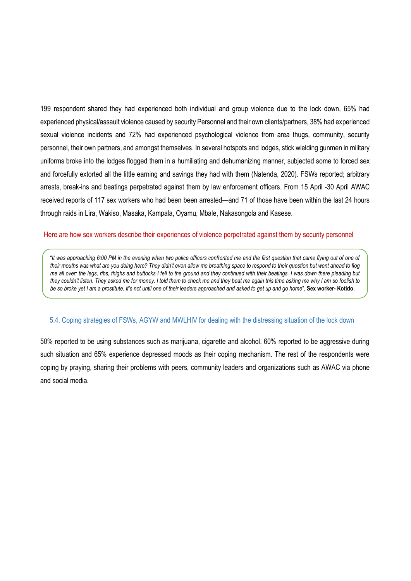199 respondent shared they had experienced both individual and group violence due to the lock down, 65% had experienced physical/assault violence caused by security Personnel and their own clients/partners, 38% had experienced sexual violence incidents and 72% had experienced psychological violence from area thugs, community, security personnel, their own partners, and amongst themselves. In several hotspots and lodges, stick wielding gunmen in military uniforms broke into the lodges flogged them in a humiliating and dehumanizing manner, subjected some to forced sex and forcefully extorted all the little earning and savings they had with them (Natenda, 2020). FSWs reported; arbitrary arrests, break-ins and beatings perpetrated against them by law enforcement officers. From 15 April -30 April AWAC received reports of 117 sex workers who had been been arrested—and 71 of those have been within the last 24 hours through raids in Lira, Wakiso, Masaka, Kampala, Oyamu, Mbale, Nakasongola and Kasese.

Here are how sex workers describe their experiences of violence perpetrated against them by security personnel

"*It was approaching 6:00 PM in the evening when two police officers confronted me and the first question that came flying out of one of their mouths was what are you doing here? They didn't even allow me breathing space to respond to their question but went ahead to flog me all over; the legs, ribs, thighs and buttocks I fell to the ground and they continued with their beatings. I was down there pleading but they couldn't listen. They asked me for money. I told them to check me and they beat me again this time asking me why I am so foolish to be so broke yet I am a prostitute. It's not until one of their leaders approached and asked to get up and go home*", **Sex worker- Kotido.**

## <span id="page-24-0"></span>5.4. Coping strategies of FSWs, AGYW and MWLHIV for dealing with the distressing situation of the lock down

50% reported to be using substances such as marijuana, cigarette and alcohol. 60% reported to be aggressive during such situation and 65% experience depressed moods as their coping mechanism. The rest of the respondents were coping by praying, sharing their problems with peers, community leaders and organizations such as AWAC via phone and social media.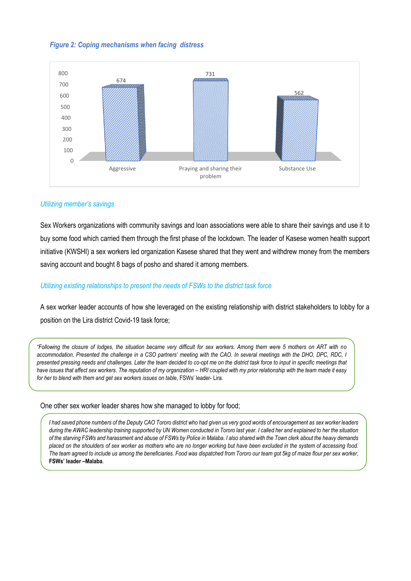



### *Utilizing member's savings*

Sex Workers organizations with community savings and loan associations were able to share their savings and use it to buy some food which carried them through the first phase of the lockdown. The leader of Kasese women health support initiative (KWSHI) a sex workers led organization Kasese shared that they went and withdrew money from the members saving account and bought 8 bags of posho and shared it among members.

### *Utilizing existing relationships to present the needs of FSWs to the district task force*

A sex worker leader accounts of how she leveraged on the existing relationship with district stakeholders to lobby for a position on the Lira district Covid-19 task force;

*"Following the closure of lodges, the situation became very difficult for sex workers. Among them were 5 mothers on ART with no accommodation. Presented the challenge in a CSO partners' meeting with the CAO. In several meetings with the DHO, DPC, RDC, I presented pressing needs and challenges. Later the team decided to co-opt me on the district task force to input in specific meetings that*  have issues that affect sex workers. The reputation of my organization - HRI coupled with my prior relationship with the team made it easy *for her to blend with them and get sex workers issues on table,* FSWs' leader- Lira.

#### One other sex worker leader shares how she managed to lobby for food;

*I had saved phone numbers of the Deputy CAO Tororo district who had given us very good words of encouragement as sex worker leaders during the AWAC leadership training supported by UN Women conducted in Tororo last year. I called her and explained to her the situation of the starving FSWs and harassment and abuse of FSWs by Police in Malaba. I also shared with the Town clerk about the heavy demands placed on the shoulders of sex worker as mothers who are no longer working but have been excluded in the system of accessing food. The team agreed to include us among the beneficiaries. Food was dispatched from Tororo our team got 5kg of maize flour per sex worker*, **FSWs' leader –Malaba**.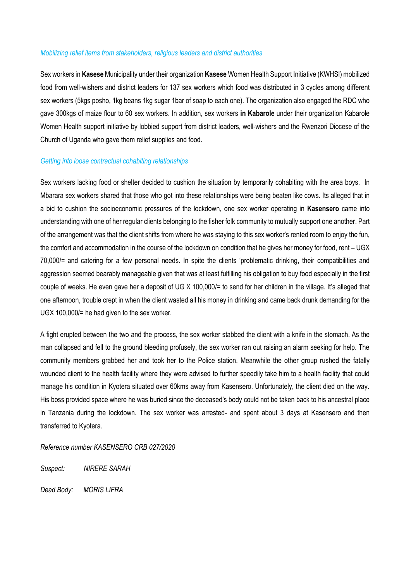# *Mobilizing relief items from stakeholders, religious leaders and district authorities*

Sex workers in **Kasese** Municipality under their organization **Kasese** Women Health Support Initiative (KWHSI) mobilized food from well-wishers and district leaders for 137 sex workers which food was distributed in 3 cycles among different sex workers (5kgs posho, 1kg beans 1kg sugar 1bar of soap to each one). The organization also engaged the RDC who gave 300kgs of maize flour to 60 sex workers. In addition, sex workers **in Kabarole** under their organization Kabarole Women Health support initiative by lobbied support from district leaders, well-wishers and the Rwenzori Diocese of the Church of Uganda who gave them relief supplies and food.

### *Getting into loose contractual cohabiting relationships*

Sex workers lacking food or shelter decided to cushion the situation by temporarily cohabiting with the area boys. In Mbarara sex workers shared that those who got into these relationships were being beaten like cows. Its alleged that in a bid to cushion the socioeconomic pressures of the lockdown, one sex worker operating in **Kasensero** came into understanding with one of her regular clients belonging to the fisher folk community to mutually support one another. Part of the arrangement was that the client shifts from where he was staying to this sex worker's rented room to enjoy the fun, the comfort and accommodation in the course of the lockdown on condition that he gives her money for food, rent – UGX 70,000/= and catering for a few personal needs. In spite the clients 'problematic drinking, their compatibilities and aggression seemed bearably manageable given that was at least fulfilling his obligation to buy food especially in the first couple of weeks. He even gave her a deposit of UG X 100,000/= to send for her children in the village. It's alleged that one afternoon, trouble crept in when the client wasted all his money in drinking and came back drunk demanding for the UGX 100,000/= he had given to the sex worker.

A fight erupted between the two and the process, the sex worker stabbed the client with a knife in the stomach. As the man collapsed and fell to the ground bleeding profusely, the sex worker ran out raising an alarm seeking for help. The community members grabbed her and took her to the Police station. Meanwhile the other group rushed the fatally wounded client to the health facility where they were advised to further speedily take him to a health facility that could manage his condition in Kyotera situated over 60kms away from Kasensero. Unfortunately, the client died on the way. His boss provided space where he was buried since the deceased's body could not be taken back to his ancestral place in Tanzania during the lockdown. The sex worker was arrested- and spent about 3 days at Kasensero and then transferred to Kyotera.

*Reference number KASENSERO CRB 027/2020* 

*Suspect: NIRERE SARAH*

*Dead Body: MORIS LIFRA*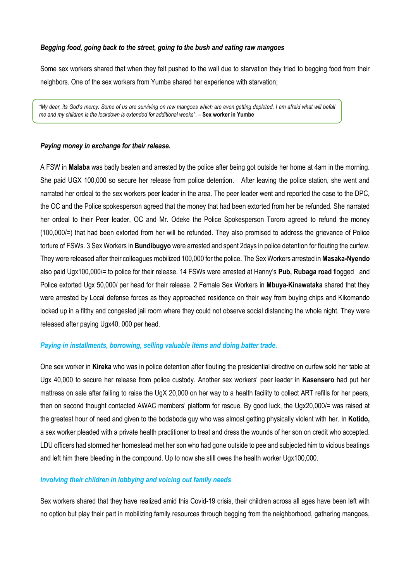### *Begging food, going back to the street, going to the bush and eating raw mangoes*

Some sex workers shared that when they felt pushed to the wall due to starvation they tried to begging food from their neighbors. One of the sex workers from Yumbe shared her experience with starvation;

*"My dear, its God's mercy. Some of us are surviving on raw mangoes which are even getting depleted. I am afraid what will befall me and my children is the lockdown is extended for additional weeks*". – **Sex worker in Yumbe** 

### *Paying money in exchange for their release.*

A FSW in **Malaba** was badly beaten and arrested by the police after being got outside her home at 4am in the morning. She paid UGX 100,000 so secure her release from police detention. After leaving the police station, she went and narrated her ordeal to the sex workers peer leader in the area. The peer leader went and reported the case to the DPC, the OC and the Police spokesperson agreed that the money that had been extorted from her be refunded. She narrated her ordeal to their Peer leader, OC and Mr. Odeke the Police Spokesperson Tororo agreed to refund the money (100,000/=) that had been extorted from her will be refunded. They also promised to address the grievance of Police torture of FSWs. 3 Sex Workers in **Bundibugyo** were arrested and spent 2days in police detention for flouting the curfew. They were released after their colleagues mobilized 100,000 for the police. The Sex Workers arrested in **Masaka-Nyendo** also paid Ugx100,000/= to police for their release. 14 FSWs were arrested at Hanny's **Pub, Rubaga road** flogged and Police extorted Ugx 50,000/ per head for their release. 2 Female Sex Workers in **Mbuya-Kinawataka** shared that they were arrested by Local defense forces as they approached residence on their way from buying chips and Kikomando locked up in a filthy and congested jail room where they could not observe social distancing the whole night. They were released after paying Ugx40, 000 per head.

### *Paying in installments, borrowing, selling valuable items and doing batter trade***.**

One sex worker in **Kireka** who was in police detention after flouting the presidential directive on curfew sold her table at Ugx 40,000 to secure her release from police custody. Another sex workers' peer leader in **Kasensero** had put her mattress on sale after failing to raise the UgX 20,000 on her way to a health facility to collect ART refills for her peers, then on second thought contacted AWAC members' platform for rescue. By good luck, the Ugx20,000/= was raised at the greatest hour of need and given to the bodaboda guy who was almost getting physically violent with her. In **Kotido,** a sex worker pleaded with a private health practitioner to treat and dress the wounds of her son on credit who accepted. LDU officers had stormed her homestead met her son who had gone outside to pee and subjected him to vicious beatings and left him there bleeding in the compound. Up to now she still owes the health worker Ugx100,000.

### *Involving their children in lobbying and voicing out family needs*

Sex workers shared that they have realized amid this Covid-19 crisis, their children across all ages have been left with no option but play their part in mobilizing family resources through begging from the neighborhood, gathering mangoes,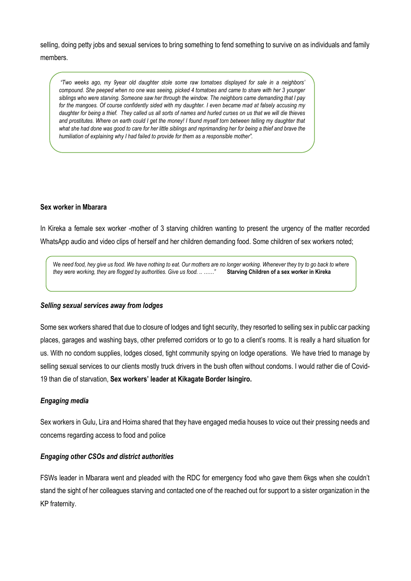selling, doing petty jobs and sexual services to bring something to fend something to survive on as individuals and family members.

*"Two weeks ago, my 9year old daughter stole some raw tomatoes displayed for sale in a neighbors' compound. She peeped when no one was seeing, picked 4 tomatoes and came to share with her 3 younger siblings who were starving. Someone saw her through the window. The neighbors came demanding that I pay for the mangoes. Of course confidently sided with my daughter. I even became mad at falsely accusing my daughter for being a thief. They called us all sorts of names and hurled curses on us that we will die thieves and prostitutes. Where on earth could I get the money! I found myself torn between telling my daughter that what she had done was good to care for her little siblings and reprimanding her for being a thief and brave the humiliation of explaining why I had failed to provide for them as a responsible mother".*

# **Sex worker in Mbarara**

In Kireka a female sex worker -mother of 3 starving children wanting to present the urgency of the matter recorded WhatsApp audio and video clips of herself and her children demanding food. Some children of sex workers noted;

We need food, hey give us food. We have nothing to eat. Our mothers are no longer working. Whenever they try to go back to where *they were working, they are flogged by authorities. Give us food. .. ……"* **Starving Children of a sex worker in Kireka** 

### *Selling sexual services away from lodges*

Some sex workers shared that due to closure of lodges and tight security, they resorted to selling sex in public car packing places, garages and washing bays, other preferred corridors or to go to a client's rooms. It is really a hard situation for us. With no condom supplies, lodges closed, tight community spying on lodge operations. We have tried to manage by selling sexual services to our clients mostly truck drivers in the bush often without condoms. I would rather die of Covid-19 than die of starvation, **Sex workers' leader at Kikagate Border Isingiro.**

# *Engaging media*

Sex workers in Gulu, Lira and Hoima shared that they have engaged media houses to voice out their pressing needs and concerns regarding access to food and police

# *Engaging other CSOs and district authorities*

FSWs leader in Mbarara went and pleaded with the RDC for emergency food who gave them 6kgs when she couldn't stand the sight of her colleagues starving and contacted one of the reached out for support to a sister organization in the KP fraternity.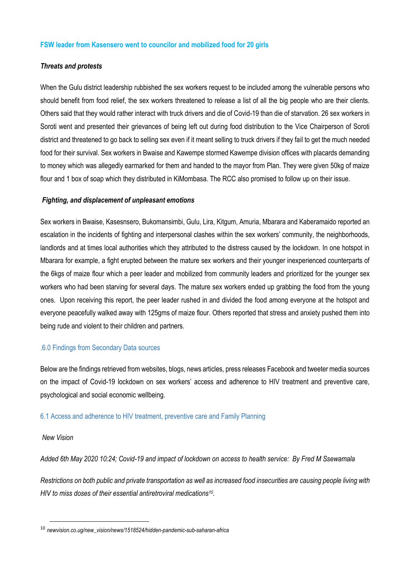### **FSW leader from Kasensero went to councilor and mobilized food for 20 girls**

### *Threats and protests*

When the Gulu district leadership rubbished the sex workers request to be included among the vulnerable persons who should benefit from food relief, the sex workers threatened to release a list of all the big people who are their clients. Others said that they would rather interact with truck drivers and die of Covid-19 than die of starvation. 26 sex workers in Soroti went and presented their grievances of being left out during food distribution to the Vice Chairperson of Soroti district and threatened to go back to selling sex even if it meant selling to truck drivers if they fail to get the much needed food for their survival. Sex workers in Bwaise and Kawempe stormed Kawempe division offices with placards demanding to money which was allegedly earmarked for them and handed to the mayor from Plan. They were given 50kg of maize flour and 1 box of soap which they distributed in KiMombasa. The RCC also promised to follow up on their issue.

### *Fighting, and displacement of unpleasant emotions*

Sex workers in Bwaise, Kasesnsero, Bukomansimbi, Gulu, Lira, Kitgum, Amuria, Mbarara and Kaberamaido reported an escalation in the incidents of fighting and interpersonal clashes within the sex workers' community, the neighborhoods, landlords and at times local authorities which they attributed to the distress caused by the lockdown. In one hotspot in Mbarara for example, a fight erupted between the mature sex workers and their younger inexperienced counterparts of the 6kgs of maize flour which a peer leader and mobilized from community leaders and prioritized for the younger sex workers who had been starving for several days. The mature sex workers ended up grabbing the food from the young ones. Upon receiving this report, the peer leader rushed in and divided the food among everyone at the hotspot and everyone peacefully walked away with 125gms of maize flour. Others reported that stress and anxiety pushed them into being rude and violent to their children and partners.

### <span id="page-30-0"></span>.6.0 Findings from Secondary Data sources

Below are the findings retrieved from websites, blogs, news articles, press releases Facebook and tweeter media sources on the impact of Covid-19 lockdown on sex workers' access and adherence to HIV treatment and preventive care, psychological and social economic wellbeing.

#### <span id="page-30-1"></span>6.1 Access and adherence to HIV treatment, preventive care and Family Planning

#### *New Vision*

**.** 

*Added 6th May 2020 10:24; Covid-19 and impact of lockdown on access to health service: By Fred M Ssewamala*

*Restrictions on both public and private transportation as well as increased food insecurities are causing people living with HIV to miss doses of their essential antiretroviral medications<sup>10</sup> .*

<sup>10</sup> *newvision.co.ug/new\_vision/news/1518524/hidden-pandemic-sub-saharan-africa*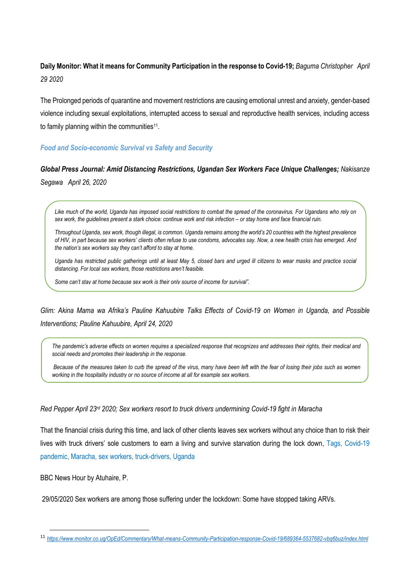# **Daily Monitor: What it means for Community Participation in the response to Covid-19;** *Baguma Christopher April 29 2020*

The Prolonged periods of quarantine and movement restrictions are causing emotional unrest and anxiety, gender-based violence including sexual exploitations, interrupted access to sexual and reproductive health services, including access to family planning within the communities<sup>11</sup>.

# *Food and Socio-economic Survival vs Safety and Security*

*Global Press Journal: Amid Distancing Restrictions, Ugandan Sex Workers Face Unique Challenges; Nakisanze Segawa April 26, 2020*

*Like much of the world, Uganda has imposed social restrictions to combat the spread of the coronavirus. For Ugandans who rely on sex work, the guidelines present a stark choice: continue work and risk infection – or stay home and face financial ruin.*

*Throughout Uganda, sex work, though illegal, is common. Uganda remains among the world's 20 countries with the highest prevalence of HIV, in part because sex workers' clients often refuse to use condoms, advocates say. Now, a new health crisis has emerged. And the nation's sex workers say they can't afford to stay at home.*

*Uganda has restricted public gatherings until at least May 5, closed bars and urged ill citizens to wear masks and practice social distancing. For local sex workers, those restrictions aren't feasible.*

*Some can't stay at home because sex work is their only source of income for survival".*

*Glim: Akina Mama wa Afrika's Pauline Kahuubire Talks Effects of Covid-19 on Women in Uganda, and Possible Interventions; Pauline Kahuubire, April 24, 2020* 

*[The pandemic's](https://glimug.com/pro-interns-share-how-they-have-managed-to-stay-productive-amidst-the-covid-19-pandemic/) adverse effects on women requires a specialized response that recognizes and addresses their rights, their medical and social needs and promotes their leadership in the response.*

*Because of the measures taken to curb the spread of the virus, many have been left with the fear of losing their jobs such as women working in the hospitality industry or no source of income at all for example sex workers.*

### *Red Pepper April 23rd 2020; Sex workers resort to truck drivers undermining Covid-19 fight in Maracha*

That the financial crisis during this time, and lack of other clients leaves sex workers without any choice than to risk their lives with truck drivers' sole customers to earn a living and survive starvation during the lock down, Tags, Covid-19 pandemic, Maracha, sex workers, truck-drivers, Uganda

BBC News Hour by Atuhaire, P.

**.** 

29/05/2020 Sex workers are among those suffering under the lockdown: Some have stopped taking ARVs.

<sup>11</sup> *[https://www.monitor.co.ug/OpEd/Commentary/What-means-Community-Participation-response-Covid-19/689364-5537682-vbq6buz/index.html](https://www.monitor.co.ug/OpEd/Commentary/What-means-Community-Participation-response-COVID-19/689364-5537682-vbq6buz/index.html)*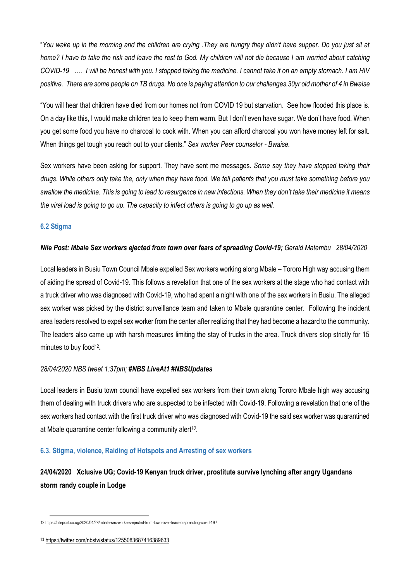"*You wake up in the morning and the children are crying .They are hungry they didn't have supper. Do you just sit at home? I have to take the risk and leave the rest to God. My children will not die because I am worried about catching COVID-19 …. I will be honest with you. I stopped taking the medicine. I cannot take it on an empty stomach. I am HIV positive. There are some people on TB drugs. No one is paying attention to our challenges.30yr old mother of 4 in Bwaise*

"You will hear that children have died from our homes not from COVID 19 but starvation. See how flooded this place is. On a day like this, I would make children tea to keep them warm. But I don't even have sugar. We don't have food. When you get some food you have no charcoal to cook with. When you can afford charcoal you won have money left for salt. When things get tough you reach out to your clients." *Sex worker Peer counselor - Bwaise.* 

Sex workers have been asking for support. They have sent me messages. *Some say they have stopped taking their drugs. While others only take the, only when they have food. We tell patients that you must take something before you swallow the medicine. This is going to lead to resurgence in new infections. When they don't take their medicine it means the viral load is going to go up. The capacity to infect others is going to go up as well.* 

### <span id="page-32-0"></span>**6.2 Stigma**

### *Nile Post: Mbale Sex workers ejected from town over fears of spreading Covid-19; Gerald Matembu 28/04/2020*

Local leaders in Busiu Town Council Mbale expelled Sex workers working along Mbale – Tororo High way accusing them of aiding the spread of Covid-19. This follows a revelation that one of the sex workers at the stage who had contact with a truck driver who was diagnosed with Covid-19, who had spent a night with one of the sex workers in Busiu. The alleged sex worker was picked by the district surveillance team and taken to Mbale quarantine center. Following the incident area leaders resolved to expel sex worker from the center after realizing that they had become a hazard to the community. The leaders also came up with harsh measures limiting the stay of trucks in the area. Truck drivers stop strictly for 15 minutes to buy food<sup>12</sup>.

#### *28/04/2020 NBS tweet 1:37pm; #NBS LiveAt1 #NBSUpdates*

Local leaders in Busiu town council have expelled sex workers from their town along Tororo Mbale high way accusing them of dealing with truck drivers who are suspected to be infected with Covid-19. Following a revelation that one of the sex workers had contact with the first truck driver who was diagnosed with Covid-19 the said sex worker was quarantined at Mbale quarantine center following a community alert*<sup>13</sup> .*

### <span id="page-32-1"></span>**6.3. Stigma, violence, Raiding of Hotspots and Arresting of sex workers**

**24/04/2020 Xclusive UG; Covid-19 Kenyan truck driver, prostitute survive lynching after angry Ugandans storm randy couple in Lodge** 

1

<sup>12</sup> [https://nilepost.co.ug/2020/04/28/mbale-sex-workers-ejected-from-town-over-fears-o spreading-covid-19 /](https://nilepost.co.ug/2020/04/28/mbale-sex-workers-ejected-from-town-over-fears-o%20spreading-covid-19%20/)

<sup>13</sup> <https://twitter.com/nbstv/status/1255083687416389633>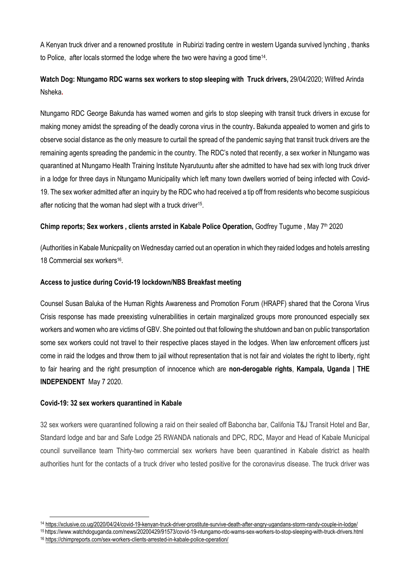A Kenyan truck driver and a renowned prostitute in Rubirizi trading centre in western Uganda survived lynching , thanks to Police, after locals stormed the lodge where the two were having a good time<sup>14</sup>.

# **Watch Dog: Ntungamo RDC warns sex workers to stop sleeping with Truck drivers,** 29/04/2020; Wilfred Arinda Nsheka**.**

Ntungamo RDC George Bakunda has warned women and girls to stop sleeping with transit truck drivers in excuse for making money amidst the spreading of the deadly corona virus in the country**.** Bakunda appealed to women and girls to observe social distance as the only measure to curtail the spread of the pandemic saying that transit truck drivers are the remaining agents spreading the pandemic in the country. The RDC's noted that recently, a sex worker in Ntungamo was quarantined at Ntungamo Health Training Institute Nyarutuuntu after she admitted to have had sex with long truck driver in a lodge for three days in Ntungamo Municipality which left many town dwellers worried of being infected with Covid-19. The sex worker admitted after an inquiry by the RDC who had received a tip off from residents who become suspicious after noticing that the woman had slept with a truck driver<sup>15</sup>.

# **Chimp reports; Sex workers, clients arrsted in Kabale Police Operation, Godfrey Tugume, May 7th 2020**

(Authorities in Kabale Municpality on Wednesday carried out an operation in which they raided lodges and hotels arresting 18 Commercial sex workers<sup>16</sup>.

# **Access to justice during Covid-19 lockdown/NBS Breakfast meeting**

Counsel Susan Baluka of the Human Rights Awareness and Promotion Forum (HRAPF) shared that the Corona Virus Crisis response has made preexisting vulnerabilities in certain marginalized groups more pronounced especially sex workers and women who are victims of GBV. She pointed out that following the shutdown and ban on public transportation some sex workers could not travel to their respective places stayed in the lodges. When law enforcement officers just come in raid the lodges and throw them to jail without representation that is not fair and violates the right to liberty, right to fair hearing and the right presumption of innocence which are **non-derogable rights**, **Kampala, Uganda | THE INDEPENDENT** May 7 2020.

### **Covid-19: 32 sex workers quarantined in Kabale**

**.** 

32 sex workers were quarantined following a raid on their sealed off Baboncha bar, Califonia T&J Transit Hotel and Bar, Standard lodge and bar and Safe Lodge 25 RWANDA nationals and DPC, RDC, Mayor and Head of Kabale Municipal council surveillance team Thirty-two commercial sex workers have been quarantined in Kabale district as health authorities hunt for the contacts of a truck driver who tested positive for the coronavirus disease. The truck driver was

<sup>14</sup> <https://xclusive.co.ug/2020/04/24/covid-19-kenyan-truck-driver-prostitute-survive-death-after-angry-ugandans-storm-randy-couple-in-lodge/>

<sup>15</sup> <https://www.watchdoguganda.com/news/20200429/91573/covid-19-ntungamo-rdc-warns-sex-workers-to-stop-sleeping-with-truck-drivers.html> <sup>16</sup> <https://chimpreports.com/sex-workers-clients-arrested-in-kabale-police-operation/>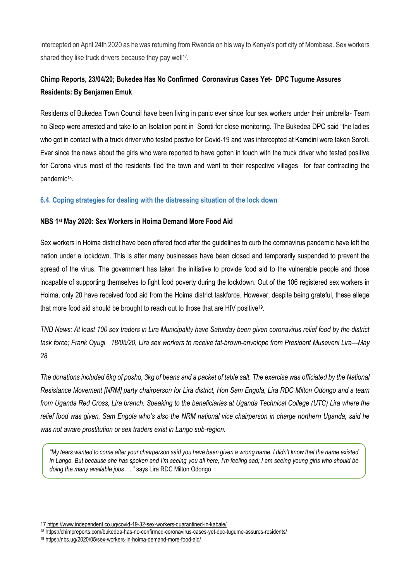intercepted on April 24th 2020 as he was returning from Rwanda on his way to Kenya's port city of Mombasa. Sex workers shared they like truck drivers because they pay well<sup>17</sup>.

# **Chimp Reports, 23/04/20; Bukedea Has No Confirmed Coronavirus Cases Yet- DPC Tugume Assures Residents: By Benjamen Emuk**

Residents of Bukedea Town Council have been living in panic ever since four sex workers under their umbrella- Team no Sleep were arrested and take to an Isolation point in Soroti for close monitoring. The Bukedea DPC said "the ladies who got in contact with a truck driver who tested postive for Covid-19 and was intercepted at Kamdini were taken Soroti. Ever since the news about the girls who were reported to have gotten in touch with the truck driver who tested positive for Corona virus most of the residents fled the town and went to their respective villages for fear contracting the pandemic<sup>18</sup>.

# <span id="page-34-0"></span>**6.4. Coping strategies for dealing with the distressing situation of the lock down**

### **NBS 1st May 2020: Sex Workers in Hoima Demand More Food Aid**

Sex workers in Hoima district have been offered food after the guidelines to curb the coronavirus pandemic have left the nation under a lockdown. This is after many businesses have been closed and temporarily suspended to prevent the spread of the virus. The government has taken the initiative to provide food aid to the vulnerable people and those incapable of supporting themselves to fight food poverty during the lockdown. Out of the 106 registered sex workers in Hoima, only 20 have received food aid from the Hoima district taskforce. However, despite being grateful, these allege that more food aid should be brought to reach out to those that are HIV positive<sup>19</sup>.

*TND News: At least 100 sex traders in Lira Municipality have Saturday been given coronavirus relief food by the district task force; Frank Oyugi 18/05/20, Lira sex workers to receive fat-brown-envelope from President Museveni Lira—May 28*

*The donations included 6kg of posho, 3kg of beans and a packet of table salt. The exercise was officiated by the National Resistance Movement [NRM] party chairperson for Lira district, Hon Sam Engola, Lira RDC Milton Odongo and a team from Uganda Red Cross, Lira branch. Speaking to the beneficiaries at Uganda Technical College (UTC) Lira where the relief food was given, Sam Engola who's also the NRM national vice chairperson in charge northern Uganda, said he was not aware prostitution or sex traders exist in Lango sub-region.*

*"My tears wanted to come after your chairperson said you have been given a wrong name. I didn't know that the name existed in Lango. But because she has spoken and I'm seeing you all here, I'm feeling sad; I am seeing young girls who should be doing the many available jobs….."* says Lira RDC Milton Odongo

**<sup>.</sup>** 17 <https://www.independent.co.ug/covid-19-32-sex-workers-quarantined-in-kabale/>

<sup>18</sup> <https://chimpreports.com/bukedea-has-no-confirmed-coronavirus-cases-yet-dpc-tugume-assures-residents/>

<sup>19</sup> <https://nbs.ug/2020/05/sex-workers-in-hoima-demand-more-food-aid/>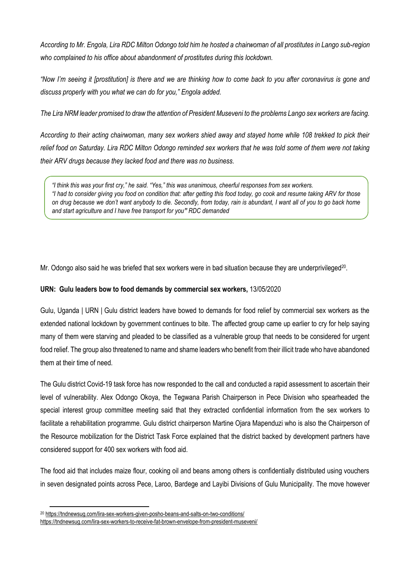*According to Mr. Engola, Lira RDC Milton Odongo told him he hosted a chairwoman of all prostitutes in Lango sub-region who complained to his office about abandonment of prostitutes during this lockdown.*

*"Now I'm seeing it [prostitution] is there and we are thinking how to come back to you after coronavirus is gone and discuss properly with you what we can do for you," Engola added.*

*The Lira NRM leader promised to draw the attention of President Museveni to the problems Lango sex workers are facing.*

*According to their acting chairwoman, many sex workers shied away and stayed home while 108 trekked to pick their relief food on Saturday. Lira RDC Milton Odongo reminded sex workers that he was told some of them were not taking their ARV drugs because they lacked food and there was no business.*

*"I think this was your first cry," he said. "Yes," this was unanimous, cheerful responses from sex workers. "I had to consider giving you food on condition that: after getting this food today, go cook and resume taking ARV for those on drug because we don't want anybody to die. Secondly, from today, rain is abundant, I want all of you to go back home and start agriculture and I have free transport for you" RDC demanded*

Mr. Odongo also said he was briefed that sex workers were in bad situation because they are underprivileged<sup>20</sup>.

# **URN: Gulu leaders bow to food demands by commercial sex workers,** 13/05/2020

Gulu, Uganda | URN | Gulu district leaders have bowed to demands for food relief by commercial sex workers as the extended national lockdown by government continues to bite. The affected group came up earlier to cry for help saying many of them were starving and pleaded to be classified as a vulnerable group that needs to be considered for urgent food relief. The group also threatened to name and shame leaders who benefit from their illicit trade who have abandoned them at their time of need.

The Gulu district Covid-19 task force has now responded to the call and conducted a rapid assessment to ascertain their level of vulnerability. Alex Odongo Okoya, the Tegwana Parish Chairperson in Pece Division who spearheaded the special interest group committee meeting said that they extracted confidential information from the sex workers to facilitate a rehabilitation programme. Gulu district chairperson Martine Ojara Mapenduzi who is also the Chairperson of the Resource mobilization for the District Task Force explained that the district backed by development partners have considered support for 400 sex workers with food aid.

The food aid that includes maize flour, cooking oil and beans among others is confidentially distributed using vouchers in seven designated points across Pece, Laroo, Bardege and Layibi Divisions of Gulu Municipality. The move however

<sup>1</sup> <sup>20</sup> <https://tndnewsug.com/lira-sex-workers-given-posho-beans-and-salts-on-two-conditions/>

<https://tndnewsug.com/lira-sex-workers-to-receive-fat-brown-envelope-from-president-museveni/>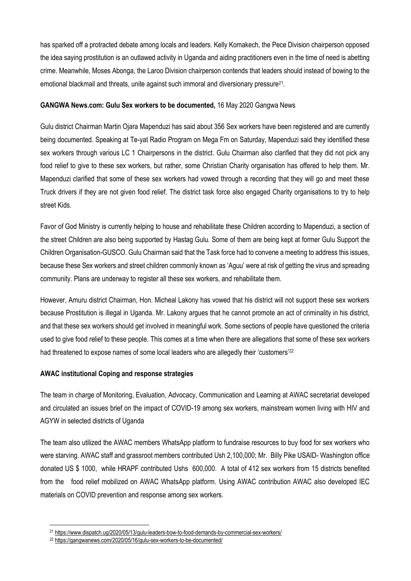has sparked off a protracted debate among locals and leaders. Kelly Komakech, the Pece Division chairperson opposed the idea saying prostitution is an outlawed activity in Uganda and aiding practitioners even in the time of need is abetting crime. Meanwhile, Moses Abonga, the Laroo Division chairperson contends that leaders should instead of bowing to the emotional blackmail and threats, unite against such immoral and diversionary pressure<sup>21</sup>.

### **GANGWA News.com: Gulu Sex workers to be documented,** 16 May 2020 Gangwa News

Gulu district Chairman Martin Ojara Mapenduzi has said about 356 Sex workers have been registered and are currently being documented. Speaking at Te-yat Radio Program on Mega Fm on Saturday, Mapenduzi said they identified these sex workers through various LC 1 Chairpersons in the district. Gulu Chairman also clarified that they did not pick any food relief to give to these sex workers, but rather, some Christian Charity organisation has offered to help them. Mr. Mapenduzi clarified that some of these sex workers had vowed through a recording that they will go and meet these Truck drivers if they are not given food relief. The district task force also engaged Charity organisations to try to help street Kids.

Favor of God Ministry is currently helping to house and rehabilitate these Children according to Mapenduzi, a section of the street Children are also being supported by Hastag Gulu. Some of them are being kept at former Gulu Support the Children Organisation-GUSCO. Gulu Chairman said that the Task force had to convene a meeting to address this issues, because these Sex workers and street children commonly known as 'Aguu' were at risk of getting the virus and spreading community. Plans are underway to register all these sex workers, and rehabilitate them.

However, Amuru district Chairman, Hon. Micheal Lakony has vowed that his district will not support these sex workers because Prostitution is illegal in Uganda. Mr. Lakony argues that he cannot promote an act of criminality in his district, and that these sex workers should get involved in meaningful work. Some sections of people have questioned the criteria used to give food relief to these people. This comes at a time when there are allegations that some of these sex workers had threatened to expose names of some local leaders who are allegedly their 'customers'<sup>22</sup>

# **AWAC institutional Coping and response strategies**

The team in charge of Monitoring, Evaluation, Advocacy, Communication and Learning at AWAC secretariat developed and circulated an issues brief on the impact of COVID-19 among sex workers, mainstream women living with HIV and AGYW in selected districts of Uganda

The team also utilized the AWAC members WhatsApp platform to fundraise resources to buy food for sex workers who were starving. AWAC staff and grassroot members contributed Ush 2,100,000; Mr. Billy Pike USAID- Washington office donated US \$ 1000, while HRAPF contributed Ushs 600,000. A total of 412 sex workers from 15 districts benefited from the food relief mobilized on AWAC WhatsApp platform. Using AWAC contribution AWAC also developed IEC materials on COVID prevention and response among sex workers.

**<sup>.</sup>** <sup>21</sup> <https://www.dispatch.ug/2020/05/13/gulu-leaders-bow-to-food-demands-by-commercial-sex-workers/>

<sup>22</sup> <https://gangwanews.com/2020/05/16/gulu-sex-workers-to-be-documented/>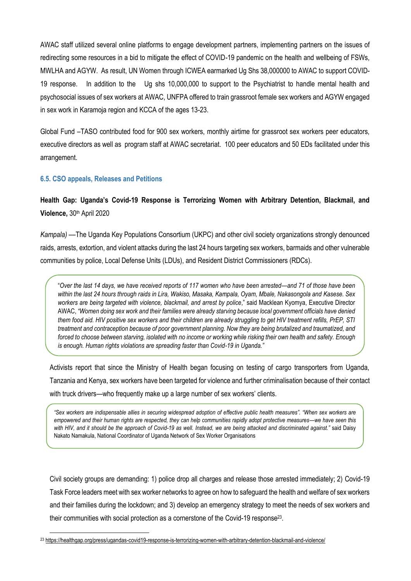AWAC staff utilized several online platforms to engage development partners, implementing partners on the issues of redirecting some resources in a bid to mitigate the effect of COVID-19 pandemic on the health and wellbeing of FSWs, MWLHA and AGYW. As result, UN Women through ICWEA earmarked Ug Shs 38,000000 to AWAC to support COVID-19 response. In addition to the Ug shs 10,000,000 to support to the Psychiatrist to handle mental health and psychosocial issues of sex workers at AWAC, UNFPA offered to train grassroot female sex workers and AGYW engaged in sex work in Karamoja region and KCCA of the ages 13-23.

Global Fund –TASO contributed food for 900 sex workers, monthly airtime for grassroot sex workers peer educators, executive directors as well as program staff at AWAC secretariat. 100 peer educators and 50 EDs facilitated under this arrangement.

### <span id="page-37-0"></span>**6.5. CSO appeals, Releases and Petitions**

**.** 

**Health Gap: Uganda's Covid-19 Response is Terrorizing Women with Arbitrary Detention, Blackmail, and Violence,** 30th April 2020

*Kampala)* ––The Uganda Key Populations Consortium (UKPC) and other civil society organizations strongly denounced raids, arrests, extortion, and violent attacks during the last 24 hours targeting sex workers, barmaids and other vulnerable communities by police, Local Defense Units (LDUs), and Resident District Commissioners (RDCs).

"*Over the last 14 days, we have received reports of 117 women who have been arrested—and 71 of those have been within the last 24 hours through raids in Lira, Wakiso, Masaka, Kampala, Oyam, Mbale, Nakasongola and Kasese. Sex workers are being targeted with violence, blackmail, and arrest by police*," said Macklean Kyomya, Executive Director AWAC, *"Women doing sex work and their families were already starving because local government officials have denied them food aid. HIV positive sex workers and their children are already struggling to get HIV treatment refills, PrEP, STI treatment and contraception because of poor government planning. Now they are being brutalized and traumatized, and forced to choose between starving, isolated with no income or working while risking their own health and safety. Enough is enough. Human rights violations are spreading faster than Covid-19 in Uganda."*

Activists report that since the Ministry of Health began focusing on testing of cargo transporters from Uganda, Tanzania and Kenya, sex workers have been targeted for violence and further criminalisation because of their contact with truck drivers—who frequently make up a large number of sex workers' clients.

*"Sex workers are indispensable allies in securing widespread adoption of effective public health measures". "When sex workers are empowered and their human rights are respected, they can help communities rapidly adopt protective measures—we have seen this with HIV, and it should be the approach of Covid-19 as well. Instead, we are being attacked and discriminated against."* said Daisy Nakato Namakula, National Coordinator of Uganda Network of Sex Worker Organisations

Civil society groups are demanding: 1) police drop all charges and release those arrested immediately; 2) Covid-19 Task Force leaders meet with sex worker networks to agree on how to safeguard the health and welfare of sex workers and their families during the lockdown; and 3) develop an emergency strategy to meet the needs of sex workers and their communities with social protection as a cornerstone of the Covid-19 response<sup>23</sup>.

<sup>23</sup> <https://healthgap.org/press/ugandas-covid19-response-is-terrorizing-women-with-arbitrary-detention-blackmail-and-violence/>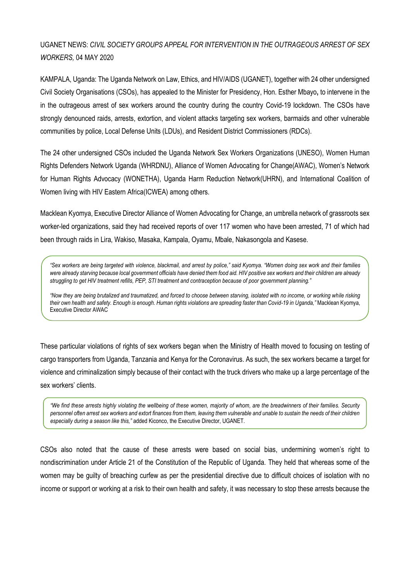# UGANET NEWS: *CIVIL SOCIETY GROUPS APPEAL FOR INTERVENTION IN THE OUTRAGEOUS ARREST OF SEX WORKERS,* 04 MAY 2020

KAMPALA, Uganda: The Uganda Network on Law, Ethics, and HIV/AIDS (UGANET), together with 24 other undersigned Civil Society Organisations (CSOs), has appealed to the Minister for Presidency, Hon. Esther Mbayo**,** to intervene in the in the outrageous arrest of sex workers around the country during the country Covid-19 lockdown. The CSOs have strongly denounced raids, arrests, extortion, and violent attacks targeting sex workers, barmaids and other vulnerable communities by police, Local Defense Units (LDUs), and Resident District Commissioners (RDCs).

The 24 other undersigned CSOs included the Uganda Network Sex Workers Organizations (UNESO), Women Human Rights Defenders Network Uganda (WHRDNU), Alliance of Women Advocating for Change(AWAC), Women's Network for Human Rights Advocacy (WONETHA), Uganda Harm Reduction Network(UHRN), and International Coalition of Women living with HIV Eastern Africa(ICWEA) among others.

Macklean Kyomya, Executive Director Alliance of Women Advocating for Change, an umbrella network of grassroots sex worker-led organizations, said they had received reports of over 117 women who have been arrested, 71 of which had been through raids in Lira, Wakiso, Masaka, Kampala, Oyamu, Mbale, Nakasongola and Kasese.

*"Sex workers are being targeted with violence, blackmail, and arrest by police," said Kyomya. "Women doing sex work and their families were already starving because local government officials have denied them food aid. HIV positive sex workers and their children are already struggling to get HIV treatment refills, PEP, STI treatment and contraception because of poor government planning."*

*"Now they are being brutalized and traumatized, and forced to choose between starving, isolated with no income, or working while risking their own health and safety. Enough is enough. Human rights violations are spreading faster than Covid-19 in Uganda,"* Macklean Kyomya, Executive Director AWAC

These particular violations of rights of sex workers began when the Ministry of Health moved to focusing on testing of cargo transporters from Uganda, Tanzania and Kenya for the Coronavirus. As such, the sex workers became a target for violence and criminalization simply because of their contact with the truck drivers who make up a large percentage of the sex workers' clients.

*"We find these arrests highly violating the wellbeing of these women, majority of whom, are the breadwinners of their families. Security personnel often arrest sex workers and extort finances from them, leaving them vulnerable and unable to sustain the needs of their children especially during a season like this,"* added Kiconco, the Executive Director, UGANET.

CSOs also noted that the cause of these arrests were based on social bias, undermining women's right to nondiscrimination under Article 21 of the Constitution of the Republic of Uganda. They held that whereas some of the women may be guilty of breaching curfew as per the presidential directive due to difficult choices of isolation with no income or support or working at a risk to their own health and safety, it was necessary to stop these arrests because the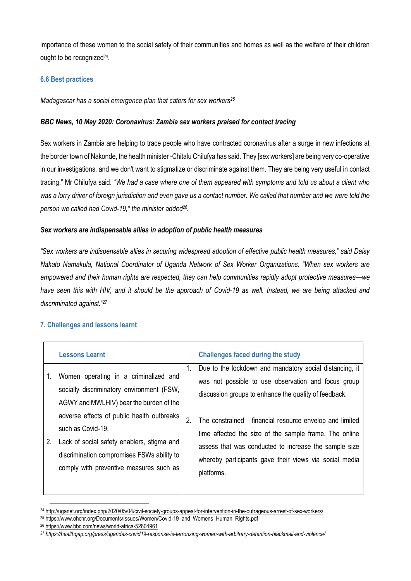importance of these women to the social safety of their communities and homes as well as the welfare of their children ought to be recognized<sup>24</sup>.

# <span id="page-39-0"></span>**6.6 Best practices**

*Madagascar has a social emergence plan that caters for sex workers<sup>25</sup>*

# *BBC News, 10 May 2020: Coronavirus: Zambia sex workers praised for contact tracing*

Sex workers in Zambia are helping to trace people who have contracted coronavirus after a surge in new infections at the border town of Nakonde, the health minister -Chitalu Chilufya has said. They [sex workers] are being very co-operative in our investigations, and we don't want to stigmatize or discriminate against them. They are being very useful in contact tracing," Mr Chilufya said. *"We had a case where one of them appeared with symptoms and told us about a client who was a lorry driver of foreign jurisdiction and even gave us a contact number. We called that number and we were told the person we called had Covid-19," the minister added<sup>26</sup> .*

# *Sex workers are indispensable allies in adoption of public health measures*

*"Sex workers are indispensable allies in securing widespread adoption of effective public health measures," said Daisy Nakato Namakula, National Coordinator of Uganda Network of Sex Worker Organizations. "When sex workers are empowered and their human rights are respected, they can help communities rapidly adopt protective measures—we*  have seen this with HIV, and it should be the approach of Covid-19 as well. Instead, we are being attacked and *discriminated against."<sup>27</sup>* 

# <span id="page-39-1"></span>**7. Challenges and lessons learnt**

<span id="page-39-3"></span><span id="page-39-2"></span>

|    | <b>Lessons Learnt</b>                                                                                                                                                                                                                                                                                                                   | $\mathbf{1}$ . | <b>Challenges faced during the study</b>                                                                                                                                                                                                                                                                                                                                                                                     |
|----|-----------------------------------------------------------------------------------------------------------------------------------------------------------------------------------------------------------------------------------------------------------------------------------------------------------------------------------------|----------------|------------------------------------------------------------------------------------------------------------------------------------------------------------------------------------------------------------------------------------------------------------------------------------------------------------------------------------------------------------------------------------------------------------------------------|
| 2. | Women operating in a criminalized and<br>socially discriminatory environment (FSW,<br>AGWY and MWLHIV) bear the burden of the<br>adverse effects of public health outbreaks<br>such as Covid-19.<br>Lack of social safety enablers, stigma and<br>discrimination compromises FSWs ability to<br>comply with preventive measures such as | 2.             | Due to the lockdown and mandatory social distancing, it<br>was not possible to use observation and focus group<br>discussion groups to enhance the quality of feedback.<br>The constrained financial resource envelop and limited<br>time affected the size of the sample frame. The online<br>assess that was conducted to increase the sample size<br>whereby participants gave their views via social media<br>platforms. |
|    |                                                                                                                                                                                                                                                                                                                                         |                |                                                                                                                                                                                                                                                                                                                                                                                                                              |

<sup>24</sup> <http://uganet.org/index.php/2020/05/04/civil-society-groups-appeal-for-intervention-in-the-outrageous-arrest-of-sex-workers/>

1

<sup>&</sup>lt;sup>25</sup> [https://www.ohchr.org/Documents/Issues/Women/Covid-19\\_and\\_Womens\\_Human\\_Rights.pdf](https://www.ohchr.org/Documents/Issues/Women/COVID-19_and_Womens_Human_Rights.pdf)

<sup>26</sup> <https://www.bbc.com/news/world-africa-52604961>

*<sup>27</sup> <https://healthgap.org/press/ugandas-covid19-response-is-terrorizing-women-with-arbitrary-detention-blackmail-and-violence/>*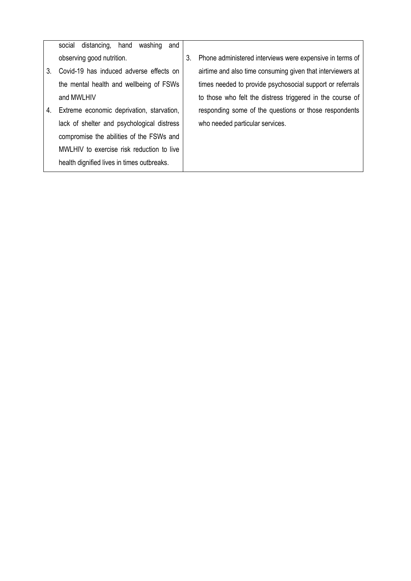|    | washing<br>distancing,<br>hand<br>social<br>and |    |                                                            |
|----|-------------------------------------------------|----|------------------------------------------------------------|
|    | observing good nutrition.                       | 3. | Phone administered interviews were expensive in terms of   |
| 3. | Covid-19 has induced adverse effects on         |    | airtime and also time consuming given that interviewers at |
|    | the mental health and wellbeing of FSWs         |    | times needed to provide psychosocial support or referrals  |
|    | and MWLHIV                                      |    | to those who felt the distress triggered in the course of  |
| 4. | Extreme economic deprivation, starvation,       |    | responding some of the questions or those respondents      |
|    | lack of shelter and psychological distress      |    | who needed particular services.                            |
|    | compromise the abilities of the FSWs and        |    |                                                            |
|    | MWLHIV to exercise risk reduction to live       |    |                                                            |
|    | health dignified lives in times outbreaks.      |    |                                                            |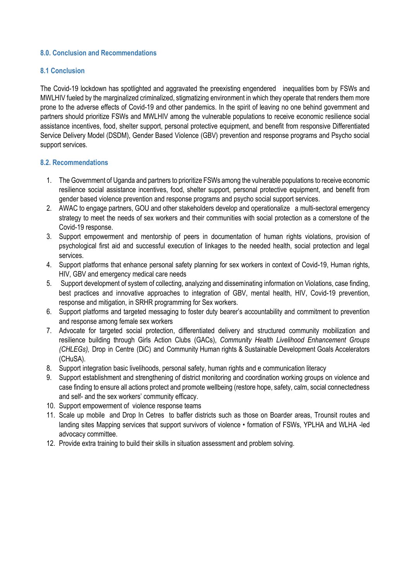# <span id="page-42-0"></span>**8.0. Conclusion and Recommendations**

# <span id="page-42-1"></span>**8.1 Conclusion**

The Covid-19 lockdown has spotlighted and aggravated the preexisting engendered inequalities born by FSWs and MWLHIV fueled by the marginalized criminalized, stigmatizing environment in which they operate that renders them more prone to the adverse effects of Covid-19 and other pandemics. In the spirit of leaving no one behind government and partners should prioritize FSWs and MWLHIV among the vulnerable populations to receive economic resilience social assistance incentives, food, shelter support, personal protective equipment, and benefit from responsive Differentiated Service Delivery Model (DSDM), Gender Based Violence (GBV) prevention and response programs and Psycho social support services.

# <span id="page-42-2"></span>**8.2. Recommendations**

- 1. The Government of Uganda and partners to prioritize FSWs among the vulnerable populations to receive economic resilience social assistance incentives, food, shelter support, personal protective equipment, and benefit from gender based violence prevention and response programs and psycho social support services.
- 2. AWAC to engage partners, GOU and other stakeholders develop and operationalize a multi-sectoral emergency strategy to meet the needs of sex workers and their communities with social protection as a cornerstone of the Covid-19 response.
- 3. Support empowerment and mentorship of peers in documentation of human rights violations, provision of psychological first aid and successful execution of linkages to the needed health, social protection and legal services.
- 4. Support platforms that enhance personal safety planning for sex workers in context of Covid-19, Human rights, HIV, GBV and emergency medical care needs
- 5. Support development of system of collecting, analyzing and disseminating information on Violations, case finding, best practices and innovative approaches to integration of GBV, mental health, HIV, Covid-19 prevention, response and mitigation, in SRHR programming for Sex workers.
- 6. Support platforms and targeted messaging to foster duty bearer's accountability and commitment to prevention and response among female sex workers
- 7. Advocate for targeted social protection, differentiated delivery and structured community mobilization and resilience building through Girls Action Clubs (GACs), *Community Health Livelihood Enhancement Groups (CHLEGs),* Drop in Centre (DiC) and Community Human rights & Sustainable Development Goals Accelerators (CHuSA).
- 8. Support integration basic livelihoods, personal safety, human rights and e communication literacy
- 9. Support establishment and strengthening of district monitoring and coordination working groups on violence and case finding to ensure all actions protect and promote wellbeing (restore hope, safety, calm, social connectedness and self- and the sex workers' community efficacy.
- 10. Support empowerment of violence response teams
- 11. Scale up mobile and Drop In Cetres to baffer districts such as those on Boarder areas, Trounsit routes and landing sites Mapping services that support survivors of violence • formation of FSWs, YPLHA and WLHA -led advocacy committee.
- 12. Provide extra training to build their skills in situation assessment and problem solving.